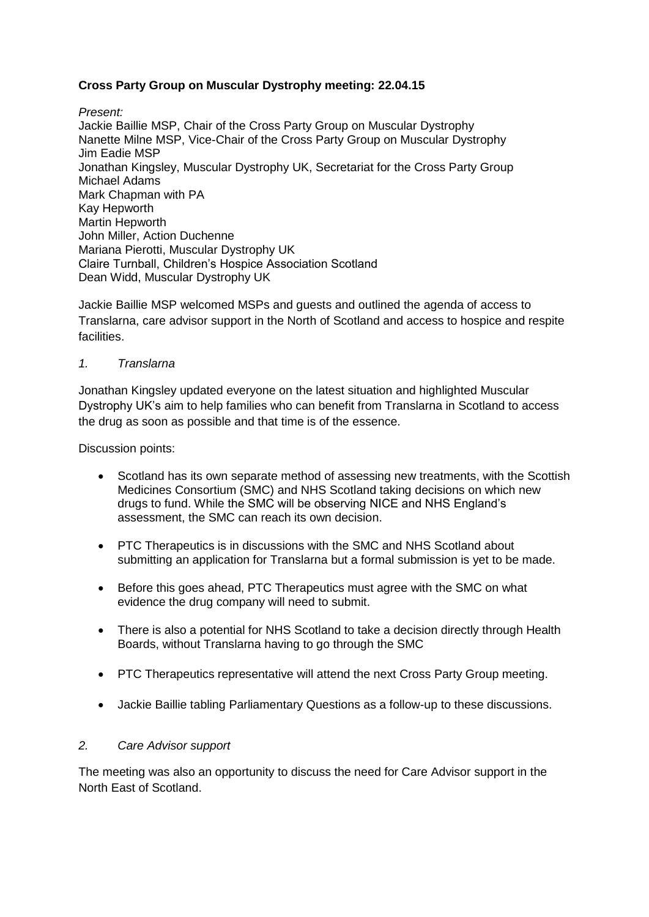## **Cross Party Group on Muscular Dystrophy meeting: 22.04.15**

*Present:*  Jackie Baillie MSP, Chair of the Cross Party Group on Muscular Dystrophy Nanette Milne MSP, Vice-Chair of the Cross Party Group on Muscular Dystrophy Jim Eadie MSP Jonathan Kingsley, Muscular Dystrophy UK, Secretariat for the Cross Party Group Michael Adams Mark Chapman with PA Kay Hepworth Martin Hepworth John Miller, Action Duchenne Mariana Pierotti, Muscular Dystrophy UK Claire Turnball, Children's Hospice Association Scotland Dean Widd, Muscular Dystrophy UK

Jackie Baillie MSP welcomed MSPs and guests and outlined the agenda of access to Translarna, care advisor support in the North of Scotland and access to hospice and respite facilities.

## *1. Translarna*

Jonathan Kingsley updated everyone on the latest situation and highlighted Muscular Dystrophy UK's aim to help families who can benefit from Translarna in Scotland to access the drug as soon as possible and that time is of the essence.

Discussion points:

- Scotland has its own separate method of assessing new treatments, with the Scottish Medicines Consortium (SMC) and NHS Scotland taking decisions on which new drugs to fund. While the SMC will be observing NICE and NHS England's assessment, the SMC can reach its own decision.
- PTC Therapeutics is in discussions with the SMC and NHS Scotland about submitting an application for Translarna but a formal submission is yet to be made.
- Before this goes ahead, PTC Therapeutics must agree with the SMC on what evidence the drug company will need to submit.
- There is also a potential for NHS Scotland to take a decision directly through Health Boards, without Translarna having to go through the SMC
- PTC Therapeutics representative will attend the next Cross Party Group meeting.
- Jackie Baillie tabling Parliamentary Questions as a follow-up to these discussions.

## *2. Care Advisor support*

The meeting was also an opportunity to discuss the need for Care Advisor support in the North East of Scotland.